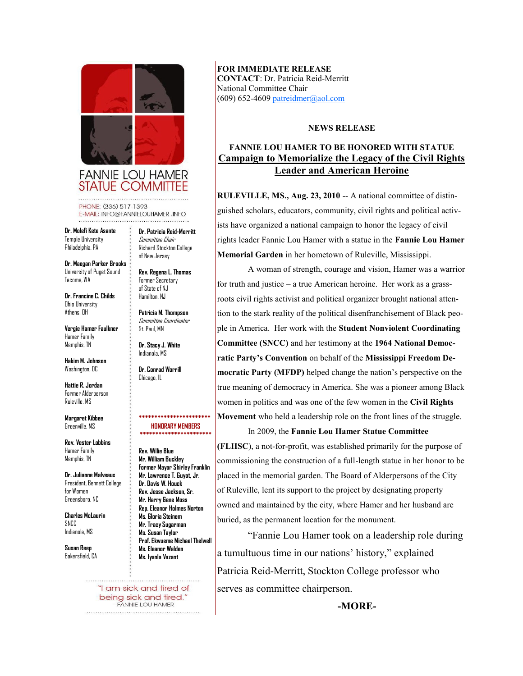

**FANNIE LOU HAMER STATUE COMMITTEE** 

PHONE: (336) 517-1393 E-MAIL: INFO@FANNIELOUHAMER .INFO

**Dr. Molefi Kete Asante**  Temple University Philadelphia, PA

**Dr. Maegan Parker Brooks**  University of Puget Sound Tacoma, WA

**Dr. Francine C. Childs**  Ohio University Athens, OH

**Vergie Hamer Faulkner**  Hamer Family Memphis, TN

**Hakim M. Johnson**  Washington, DC

**Hattie R. Jordan**  Former Alderperson Ruleville, MS

**Margaret Kibbee**  Greenville, MS

**Rev. Vester Lobbins**  Hamer Family Memphis, TN

**Dr. Julianne Malveaux**  President, Bennett College for Women Greensboro, NC

**Charles McLaurin**  SNCC Indianola, MS

**Susan Reep**  Bakersfield, CA **Dr. Patricia Reid-Merritt**  Committee Chair Richard Stockton College of New Jersey

**Rev. Regena L. Thomas** Former Secretary of State of NJ Hamilton, NJ

**Patricia M. Thompson** Committee Coordinator St. Paul, MN

**Dr. Stacy J. White** Indianola, MS

**Dr. Conrad Worrill** Chicago, IL

## **\*\*\*\*\*\*\*\*\*\*\*\*\*\*\*\*\*\*\*\*\*\*\* HONORARY MEMBERS \*\*\*\*\*\*\*\*\*\*\*\*\*\*\*\*\*\*\*\*\*\*\***

**Rev. Willie Blue Mr. William Buckley Former Mayor Shirley Franklin Mr. Lawrence T. Guyot, Jr. Dr. Davis W. Houck Rev. Jesse Jackson, Sr. Mr. Harry Gene Moss Rep. Eleanor Holmes Norton Ms. Gloria Steinem Mr. Tracy Sugarman Ms. Susan Taylor Prof. Ekwueme Michael Thelwell Ms. Eleanor Walden Ms. Iyanla Vazant**

"I am sick and tired of being sick and tired." - FANNIE LOU HAMER 

**FOR IMMEDIATE RELEASE CONTACT**: Dr. Patricia Reid-Merritt National Committee Chair  $(609)$  652-4609 [patreidmer@aol.com](mailto:patreidmer@aol.com)

## **NEWS RELEASE**

## **FANNIE LOU HAMER TO BE HONORED WITH STATUE Campaign to Memorialize the Legacy of the Civil Rights Leader and American Heroine**

**RULEVILLE, MS., Aug. 23, 2010** -- A national committee of distinguished scholars, educators, community, civil rights and political activists have organized a national campaign to honor the legacy of civil rights leader Fannie Lou Hamer with a statue in the **Fannie Lou Hamer Memorial Garden** in her hometown of Ruleville, Mississippi.

A woman of strength, courage and vision, Hamer was a warrior for truth and justice – a true American heroine. Her work as a grassroots civil rights activist and political organizer brought national attention to the stark reality of the political disenfranchisement of Black people in America. Her work with the **Student Nonviolent Coordinating Committee (SNCC)** and her testimony at the **1964 National Democratic Party's Convention** on behalf of the **Mississippi Freedom Democratic Party (MFDP)** helped change the nation's perspective on the true meaning of democracy in America. She was a pioneer among Black women in politics and was one of the few women in the **Civil Rights Movement** who held a leadership role on the front lines of the struggle.

In 2009, the **Fannie Lou Hamer Statue Committee (FLHSC**), a not-for-profit, was established primarily for the purpose of commissioning the construction of a full-length statue in her honor to be placed in the memorial garden. The Board of Alderpersons of the City of Ruleville, lent its support to the project by designating property owned and maintained by the city, where Hamer and her husband are buried, as the permanent location for the monument.

"Fannie Lou Hamer took on a leadership role during a tumultuous time in our nations' history," explained Patricia Reid-Merritt, Stockton College professor who serves as committee chairperson.

**-MORE-**